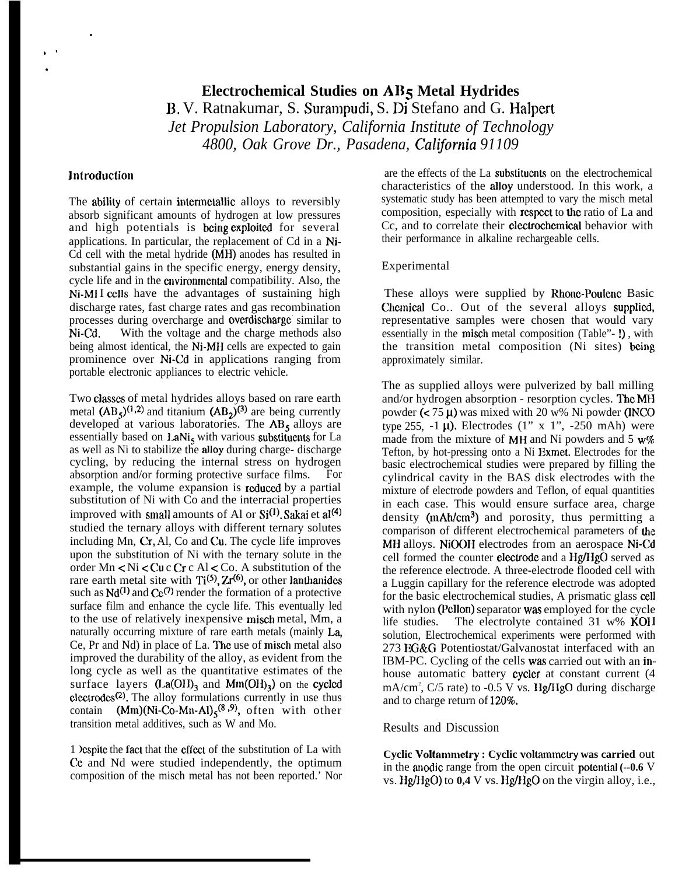# **Electrochemical Studies on AI15 Metal Hydrides B,** V. Ratnakumar, S. Surampudi, S. Di Stefano and G. Halpert *Jet Propulsion Laboratory, California Institute of Technology* 4800, Oak Grove Dr., Pasadena, California 91109

#### **Introduction**

.

,, .

> The ability of certain intermetallic alloys to reversibly absorb significant amounts of hydrogen at low pressures and high potentials is being exploited for several applications. In particular, the replacement of Cd in a Ni-Cd cell with the metal hydride (MH) anodes has resulted in substantial gains in the specific energy, energy density, cycle life and in the cnvironrnental compatibility. Also, the Ni-M1 I cells have the advantages of sustaining high discharge rates, fast charge rates and gas recombination processes during overcharge and overdischarge similar to Ni-Cd, With the voltage and the charge methods also being almost identical, the Ni-MH cells are expected to gain prominence over Ni-Cd in applications ranging from portable electronic appliances to electric vehicle.

Two classes of metal hydrides alloys based on rare earth metal  $(AB<sub>5</sub>)^{(1,2)}$  and titanium  $(AB<sub>2</sub>)^{(3)}$  are being currently developed at various laboratories. The  $AB<sub>5</sub>$  alloys are essentially based on  $\text{LaNi}_5$  with various substituents for La as well as Ni to stabilize the alloy during charge- discharge cycling, by reducing the internal stress on hydrogen absorption and/or forming protective surface films. For example, the volume expansion is redueed by a partial substitution of Ni with Co and the interracial properties improved with small amounts of Al or  $Si^{(1)}$ . Sakai et al<sup>(4)</sup> studied the ternary alloys with different ternary solutes including Mn,  $Cr$ , Al, Co and  $Cu$ . The cycle life improves upon the substitution of Ni with the ternary solute in the order Mn < Ni < Cu c Cr c Al < Co. A substitution of the rare earth metal site with  $Ti^{(5)}$ ,  $Zr^{(6)}$ , or other lanthanides such as  $Nd^{(1)}$  and  $Ce^{(7)}$  render the formation of a protective surface film and enhance the cycle life. This eventually led to the use of relatively inexpensive misch metal, Mm, a naturally occurring mixture of rare earth metals (mainly  $La$ , Ce, Pr and Nd) in place of La. The use of misch metal also improved the durability of the alloy, as evident from the long cycle as well as the quantitative estimates of the surface layers  $(La(OH)_3)$  and  $Mm(OH)_3$ ) on the cycled elcctrodcs(2). The alloy formulations currently in use thus contain  $(Mm)(Ni-Co-Mn-Al)<sub>5</sub><sup>(8,9)</sup>$ , often with other transition metal additives, such as W and Mo.

1 JCspitc the fact that the effecl of the substitution of La with Ce and Nd were studied independently, the optimum composition of the misch metal has not been reported.' Nor

are the effects of the La substituents on the electrochemical characteristics of the alloy understood. In this work, a systematic study has been attempted to vary the misch metal composition, especially with respeet to the ratio of La and Cc, and to correlate their cleetrochcmieal behavior with their performance in alkaline rechargeable cells.

#### Experimental

These alloys were supplied by Rhone-Poulenc Basic Chemical Co.. Out of the several alloys supplied, representative samples were chosen that would vary essentially in the misch metal composition (Table"- !) , with the transition metal composition (Ni sites) being approximately similar.

The as supplied alloys were pulverized by ball milling and/or hydrogen absorption - resorption cycles. The MH powder  $(< 75 \mu$ ) was mixed with 20 w% Ni powder (INCO type 255,  $-1 \mu$ ). Electrodes (1" x 1",  $-250$  mAh) were made from the mixture of MH and Ni powders and  $5 w\%$ Tefton, by hot-pressing onto a Ni Exmet. Electrodes for the basic electrochemical studies were prepared by filling the cylindrical cavity in the BAS disk electrodes with the mixture of electrode powders and Teflon, of equal quantities in each case. This would ensure surface area, charge density (mAh/cm<sup>3</sup>) and porosity, thus permitting a comparison of different electrochemical parameters of the MH alloys. NiOOH electrodes from an aerospace Ni-Cd cell formed the counter electrode and a Hg/HgO served as the reference electrode. A three-electrode flooded cell with a Luggin capillary for the reference electrode was adopted for the basic electrochemical studies, A prismatic glass cell with nylon (Pellon) separator was employed for the cycle life studies. The electrolyte contained 31 w% KOI <sup>I</sup> solution, Electrochemical experiments were performed with 273 EG&G Potentiostat/Galvanostat interfaced with an IBM-PC. Cycling of the cells was carried out with an inhouse automatic battery cycler at constant current (4 mA/cm<sup>2</sup>, C/5 rate) to -0.5 V vs. Hg/HgO during discharge and to charge return of 120%.

#### Results and Discussion

**Cyclic Voltannnetry : Cyclic voltammctry was carried** out in the anodic range from the open circuit potentiat **(--0.6** V vs. Hg/HgO) to 0,4 V vs. Hg/HgO on the virgin alloy, i.e.,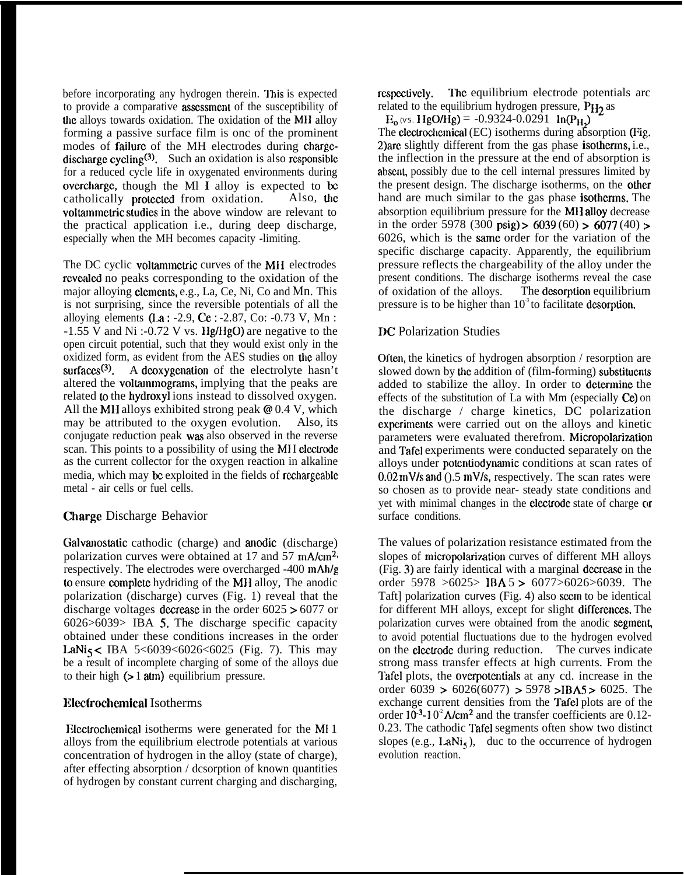before incorporating any hydrogen therein. This is expected to provide a comparative assessment of the susceptibility of the alloys towards oxidation. The oxidation of the MII alloy forming a passive surface film is onc of the prominent modes of **failure** of the MH electrodes during chargedischarge cycling<sup>(3)</sup>. Such an oxidation is also responsible for a reduced cycle life in oxygenated environments during overcharge, though the Ml  $\overline{I}$  alloy is expected to be catholically protected from oxidation. Also, the catholically protected from oxidation. voltammetric studies in the above window are relevant to the practical application i.e., during deep discharge, especially when the MH becomes capacity -limiting.

The DC cyclic voltammetric curves of the MII electrodes rcvcalcd no peaks corresponding to the oxidation of the major alloying clcmcms, e.g., La, Ce, Ni, Co and Mn. This is not surprising, since the reversible potentials of all the alloying elements  $(I.a: -2.9, Ce: -2.87, Co: -0.73 V, Mn:$  $-1.55$  V and Ni :-0.72 V vs. Hg/HgO) are negative to the open circuit potential, such that they would exist only in the oxidized form, as evident from the AES studies on the alloy surfaces<sup>(3)</sup>. A deoxygenation of the electrolyte hasn't altered the voltannnograms, implying that the peaks are related to the hydroxyl ions instead to dissolved oxygen. All the MH alloys exhibited strong peak @ 0.4 V, which may be attributed to the oxygen evolution. Also, its conjugate reduction peak was also observed in the reverse scan. This points to a possibility of using the MI I clcctrodc as the current collector for the oxygen reaction in alkaline media, which may be exploited in the fields of rechargeable metal - air cells or fuel cells.

# Charge Discharge Behavior

Galvanostatic cathodic (charge) and anodic (discharge) polarization curves were obtained at 17 and 57 mA/cm<sup>2,</sup> respectively. The electrodes were overcharged -400 mAh/g to ensure complete hydriding of the MH alloy, The anodic polarization (discharge) curves (Fig. 1) reveal that the discharge voltages decrease in the order  $6025 > 6077$  or 6026>6039> IBA 5, The discharge specific capacity obtained under these conditions increases in the order LaNi<sub>5</sub> < IBA 5<6039<6026<6025 (Fig. 7). This may be a result of incomplete charging of some of the alloys due to their high  $(> 1 \text{ atm})$  equilibrium pressure.

# **Electrochemical Isotherms**

Elcctrochcmical isotherms were generated for the MI 1 alloys from the equilibrium electrode potentials at various concentration of hydrogen in the alloy (state of charge), after effecting absorption / dcsorption of known quantities of hydrogen by constant current charging and discharging,

respectively. The equilibrium electrode potentials arc related to the equilibrium hydrogen pressure,  $P_{H_2}$  as

 $E_0$  (vs. 1 IgO/Hg) = -0.9324-0.0291 ln(P<sub>H<sub>2</sub>)</sub>

The electrochemical (EC) isotherms during absorption (Fig. 2) are slightly different from the gas phase **isotherms**, i.e., the inflection in the pressure at the end of absorption is absent, possibly due to the cell internal pressures limited by the present design. The discharge isotherms, on the other hand are much similar to the gas phase **isotherms**. The absorption equilibrium pressure for the MH alloy decrease in the order 5978 (300 psig) > 6039 (60) > 6077 (40) > 6026, which is the sarnc order for the variation of the specific discharge capacity. Apparently, the equilibrium pressure reflects the chargeability of the alloy under the present conditions. The discharge isotherms reveal the case of oxidation of the alloys. The dcsorption equilibrium pressure is to be higher than  $10<sup>3</sup>$  to facilitate desorption.

## DC Polarization Studies

Often, the kinetics of hydrogen absorption / resorption are slowed down by the addition of (film-forming) substituents added to stabilize the alloy. In order to **determine** the effects of the substitution of La with Mm (especially Ce) on the discharge / charge kinetics, DC polarization cxpcrimcnts were carried out on the alloys and kinetic parameters were evaluated therefrom. Micropolarization and Tafel experiments were conducted separately on the alloys under potcntiodynarnic conditions at scan rates of  $0.02$  mV/s and ().5 mV/s, respectively. The scan rates were so chosen as to provide near- steady state conditions and yet with minimal changes in the electrode state of charge or surface conditions.

The values of polarization resistance estimated from the slopes of micropolarization curves of different MH alloys (Fig. 3) are fairly identical with a marginal decrease in the order 5978 >6025> IBA 5 > 6077>6026>6039. The Taft] polarization curves (Fig. 4) also seem to be identical for different MH alloys, except for slight differences. The polarization curves were obtained from the anodic segment, to avoid potential fluctuations due to the hydrogen evolved on the elcctrodc during reduction. The curves indicate strong mass transfer effects at high currents. From the Tafcl plots, the overpotentials at any cd. increase in the order  $6039 > 6026(6077) > 5978 > IBAS > 6025$ . The exchange current densities from the Tafel plots are of the order  $10^{-3}$ -10<sup>2</sup> A/cm<sup>2</sup> and the transfer coefficients are 0.12-0.23. The cathodic Tafel segments often show two distinct slopes (e.g.,  $\text{LANi}_5$ ), duc to the occurrence of hydrogen evolution reaction.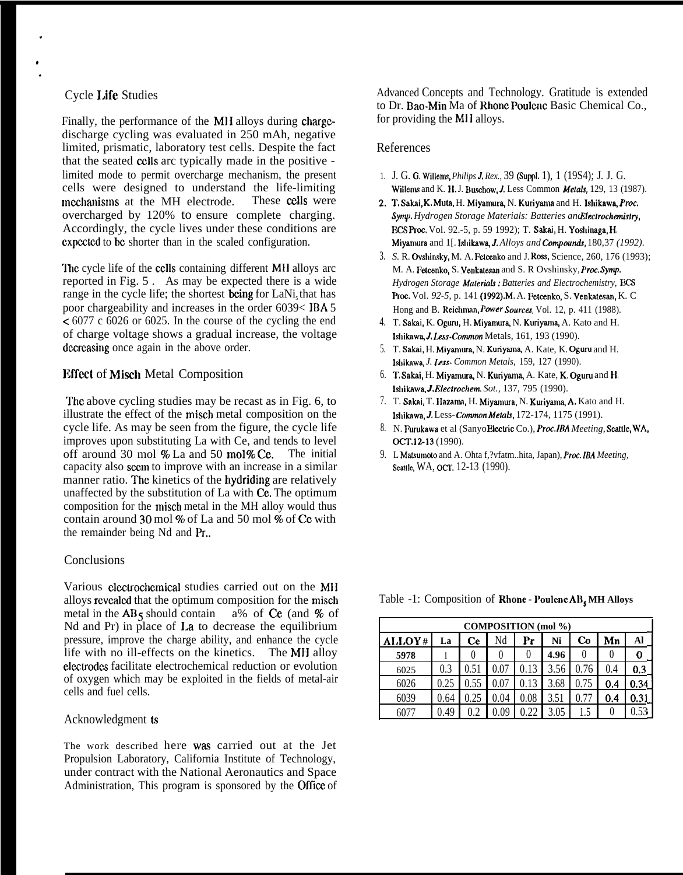## Cycle I.ife Studies

.

Finally, the performance of the MH alloys during chargedischarge cycling was evaluated in 250 mAh, negative limited, prismatic, laboratory test cells. Despite the fact that the seated CCIIS arc typically made in the positive limited mode to permit overcharge mechanism, the present cells were designed to understand the life-limiting mechanisms at the MH electrode. These cells were overcharged by 120% to ensure complete charging. Accordingly, the cycle lives under these conditions are cxpcctcd to bc shorter than in the scaled configuration.

The cycle life of the cells containing different MH alloys arc reported in Fig. 5 . As may be expected there is a wide range in the cycle life; the shortest being for LaNi, that has poor chargeability and increases in the order 6039< IBA 5  $\leq 6077$  c 6026 or 6025. In the course of the cycling the end of charge voltage shows a gradual increase, the voltage decreasing once again in the above order.

# **Effect of Misch Metal Composition**

The above cycling studies may be recast as in Fig. 6, to illustrate the effect of the misch metal composition on the cycle life. As may be seen from the figure, the cycle life improves upon substituting La with Ce, and tends to level off around 30 mol  $%$  La and 50 mol  $%$  Ce. The initial capacity also secm to improve with an increase in a similar manner ratio. The kinetics of the hydriding are relatively unaffected by the substitution of La with Ce. The optimum composition for the misch metal in the MH alloy would thus contain around 30 mol % of La and 50 mol % of Ce with the remainder being Nd and Pr..

### **Conclusions**

Various clcctrochcmical studies carried out on the MI] alloys revealed that the optimum composition for the misch metal in the  $AB_5$  should contain a% of Ce (and % of metal in the  $AB_5$  should contain Nd and Pr) in place of I.a to decrease the equilibrium pressure, improve the charge ability, and enhance the cycle life with no ill-effects on the kinetics. The MH alloy clcctrodcs facilitate electrochemical reduction or evolution of oxygen which may be exploited in the fields of metal-air cells and fuel cells.

### Acknowledgment ts

The work described here was carried out at the Jet Propulsion Laboratory, California Institute of Technology, under contract with the National Aeronautics and Space Administration, This program is sponsored by the Office of Advanced Concepts and Technology. Gratitude is extended to Dr. Bao-Min Ma of Rhone Poulenc Basic Chemical Co., for providing the MII alloys.

### References

- 1. J. G. G. Willems, *Philips J. Rex.*, 39 (Suppl. 1), 1 (19S4); J. J. G. Willems and K. H. J. Buschow, J. Less Common Metals, 129, 13 (1987).
- 2. T. Sakai, K. Muta, H. Miyamura, N. Kuriyama and H. Ishikawa, Proc. *Synrp. Hydrogen Storage Materials: Batteries and Ekctrochmistty, KS Proc.* Vol. 92.-5, p. 59 1992); T. Sskai, H. Yoshinaga, H. Miyamura and 1[. Ishikawa, J. Alloys and Compounds, 180,37 *(1992)*.
- 3. S. R. Ovshinsky, M. A. Fetcenko and J. Ross, Science, 260, 176 (1993); M. A. Fetcenko, S. Venkslcsam and S. R Ovshinsky, *Proc. Symp. Hydrogen Storage Materaid.s: Batteries and Electrochemistry, KS Proc. Vol. 92-5, p. 141 (1992).M. A. Fetcenko, S. Venkatesan, K. C.* Hong and B. Reichman, *Power Sources*, Vol. 12, p. 411 (1988).
- 4. T. Sakai, K. Oguru, H. Miyamura, N. Kuriyama, A. Kato and H. Ishikawa, J. Less-Common Metals, 161, 193 (1990).
- 5. T. Sakai, H. Miyarnura, N. Kunyama, A. Kate, K. Oguru and H. Ishitcawa, *J. Izvs- Common Metals,* 159, 127 (1990).
- 6. **T. Sakai,** H. **Miyamura,** N. **Kuriyama,** A. Kate, **K. Oguru** and **H.** Ishikswa, J. *Electrochem Sot.,* 137, 795 (1990).
- 7. T. Sakai, T. Hazama, H. Miyamura, N. Kuriyama, A. Kato and H. Ishikawa, J. Less- Common Metals, 172-174, 1175 (1991).
- 8. N. Furukawa et al (Sanyo Electric Co.), *Proc. IBA Meeting*, Seattle, WA, *p.* 12-13 (1990).
- 9. L Matsumoto and A. Ohta f,?vfatm..hita, Japan), *Prac. IBA Meeting,* Seattle, WA, OCT. 12-13 (1990).

Table -1: Composition of **Rhone - PoulencAB**, MH Alloys

| <b>COMPOSITION</b> (mol %) |      |              |          |      |      |                |          |      |
|----------------------------|------|--------------|----------|------|------|----------------|----------|------|
| ALLOY#                     | La   | Ce           | Nd       | Рr   | Ni   | $\mathbf{c}_0$ | Mn       | Al   |
| 5978                       |      | $\mathbf{0}$ |          |      | 4.96 |                | 0        | 0    |
| 6025                       | 0.3  | 0.51         | 0.07     | 0.13 | 3.56 | 0.76           | 0.4      | 0.3  |
| 6026                       | 0.25 | 0.55         | 0.07     |      | 3.68 | 0.75           | 0.4      | 0.34 |
| 6039                       | 0.64 |              | $0.04\,$ | 0.08 | 3.51 | 0.77           | 0.4      | 0.31 |
| 607                        | 0.49 |              | 0.09     | 0.22 | 3.05 |                | $\theta$ |      |